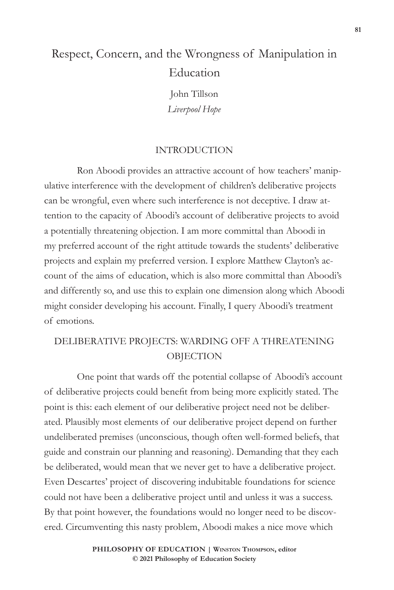# Respect, Concern, and the Wrongness of Manipulation in **Education**

John Tillson *Liverpool Hope*

#### INTRODUCTION

Ron Aboodi provides an attractive account of how teachers' manipulative interference with the development of children's deliberative projects can be wrongful, even where such interference is not deceptive. I draw attention to the capacity of Aboodi's account of deliberative projects to avoid a potentially threatening objection. I am more committal than Aboodi in my preferred account of the right attitude towards the students' deliberative projects and explain my preferred version. I explore Matthew Clayton's account of the aims of education, which is also more committal than Aboodi's and differently so, and use this to explain one dimension along which Aboodi might consider developing his account. Finally, I query Aboodi's treatment of emotions.

## DELIBERATIVE PROJECTS: WARDING OFF A THREATENING **OBJECTION**

One point that wards off the potential collapse of Aboodi's account of deliberative projects could benefit from being more explicitly stated. The point is this: each element of our deliberative project need not be deliberated. Plausibly most elements of our deliberative project depend on further undeliberated premises (unconscious, though often well-formed beliefs, that guide and constrain our planning and reasoning). Demanding that they each be deliberated, would mean that we never get to have a deliberative project. Even Descartes' project of discovering indubitable foundations for science could not have been a deliberative project until and unless it was a success. By that point however, the foundations would no longer need to be discovered. Circumventing this nasty problem, Aboodi makes a nice move which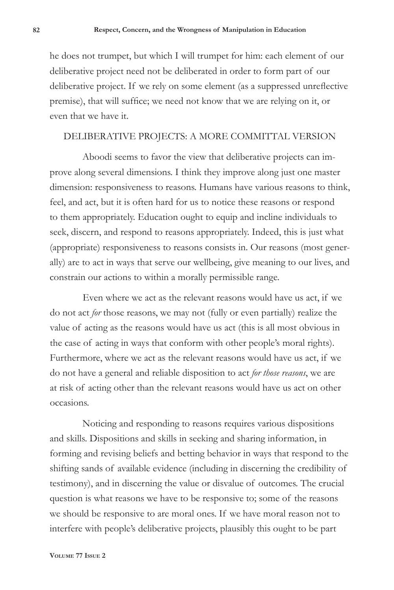he does not trumpet, but which I will trumpet for him: each element of our deliberative project need not be deliberated in order to form part of our deliberative project. If we rely on some element (as a suppressed unreflective premise), that will suffice; we need not know that we are relying on it, or even that we have it.

#### DELIBERATIVE PROJECTS: A MORE COMMITTAL VERSION

Aboodi seems to favor the view that deliberative projects can improve along several dimensions. I think they improve along just one master dimension: responsiveness to reasons. Humans have various reasons to think, feel, and act, but it is often hard for us to notice these reasons or respond to them appropriately. Education ought to equip and incline individuals to seek, discern, and respond to reasons appropriately. Indeed, this is just what (appropriate) responsiveness to reasons consists in. Our reasons (most generally) are to act in ways that serve our wellbeing, give meaning to our lives, and constrain our actions to within a morally permissible range.

Even where we act as the relevant reasons would have us act, if we do not act *for* those reasons, we may not (fully or even partially) realize the value of acting as the reasons would have us act (this is all most obvious in the case of acting in ways that conform with other people's moral rights). Furthermore, where we act as the relevant reasons would have us act, if we do not have a general and reliable disposition to act *for those reasons*, we are at risk of acting other than the relevant reasons would have us act on other occasions.

Noticing and responding to reasons requires various dispositions and skills. Dispositions and skills in seeking and sharing information, in forming and revising beliefs and betting behavior in ways that respond to the shifting sands of available evidence (including in discerning the credibility of testimony), and in discerning the value or disvalue of outcomes. The crucial question is what reasons we have to be responsive to; some of the reasons we should be responsive to are moral ones. If we have moral reason not to interfere with people's deliberative projects, plausibly this ought to be part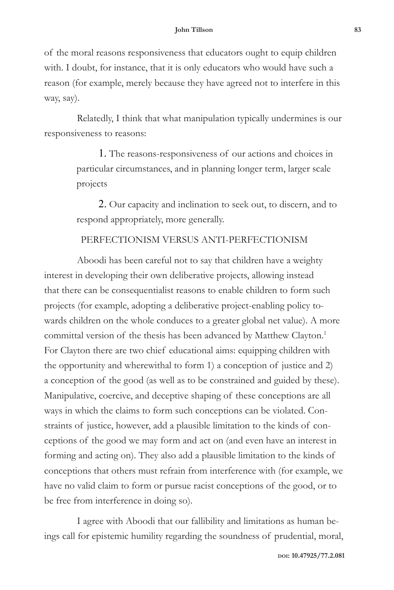of the moral reasons responsiveness that educators ought to equip children with. I doubt, for instance, that it is only educators who would have such a reason (for example, merely because they have agreed not to interfere in this way, say).

Relatedly, I think that what manipulation typically undermines is our responsiveness to reasons:

> 1. The reasons-responsiveness of our actions and choices in particular circumstances, and in planning longer term, larger scale projects

2. Our capacity and inclination to seek out, to discern, and to respond appropriately, more generally.

### PERFECTIONISM VERSUS ANTI-PERFECTIONISM

Aboodi has been careful not to say that children have a weighty interest in developing their own deliberative projects, allowing instead that there can be consequentialist reasons to enable children to form such projects (for example, adopting a deliberative project-enabling policy towards children on the whole conduces to a greater global net value). A more committal version of the thesis has been advanced by Matthew Clayton.<sup>1</sup> For Clayton there are two chief educational aims: equipping children with the opportunity and wherewithal to form 1) a conception of justice and 2) a conception of the good (as well as to be constrained and guided by these). Manipulative, coercive, and deceptive shaping of these conceptions are all ways in which the claims to form such conceptions can be violated. Constraints of justice, however, add a plausible limitation to the kinds of conceptions of the good we may form and act on (and even have an interest in forming and acting on). They also add a plausible limitation to the kinds of conceptions that others must refrain from interference with (for example, we have no valid claim to form or pursue racist conceptions of the good, or to be free from interference in doing so).

I agree with Aboodi that our fallibility and limitations as human beings call for epistemic humility regarding the soundness of prudential, moral,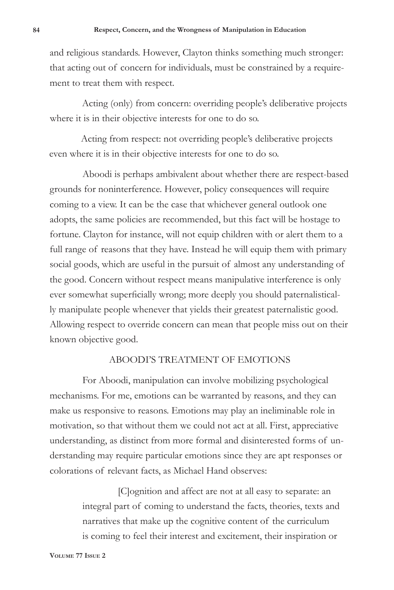and religious standards. However, Clayton thinks something much stronger: that acting out of concern for individuals, must be constrained by a requirement to treat them with respect.

Acting (only) from concern: overriding people's deliberative projects where it is in their objective interests for one to do so.

Acting from respect: not overriding people's deliberative projects even where it is in their objective interests for one to do so.

Aboodi is perhaps ambivalent about whether there are respect-based grounds for noninterference. However, policy consequences will require coming to a view. It can be the case that whichever general outlook one adopts, the same policies are recommended, but this fact will be hostage to fortune. Clayton for instance, will not equip children with or alert them to a full range of reasons that they have. Instead he will equip them with primary social goods, which are useful in the pursuit of almost any understanding of the good. Concern without respect means manipulative interference is only ever somewhat superficially wrong; more deeply you should paternalistically manipulate people whenever that yields their greatest paternalistic good. Allowing respect to override concern can mean that people miss out on their known objective good.

#### ABOODI'S TREATMENT OF EMOTIONS

For Aboodi, manipulation can involve mobilizing psychological mechanisms. For me, emotions can be warranted by reasons, and they can make us responsive to reasons. Emotions may play an ineliminable role in motivation, so that without them we could not act at all. First, appreciative understanding, as distinct from more formal and disinterested forms of understanding may require particular emotions since they are apt responses or colorations of relevant facts, as Michael Hand observes:

> [C]ognition and affect are not at all easy to separate: an integral part of coming to understand the facts, theories, texts and narratives that make up the cognitive content of the curriculum is coming to feel their interest and excitement, their inspiration or